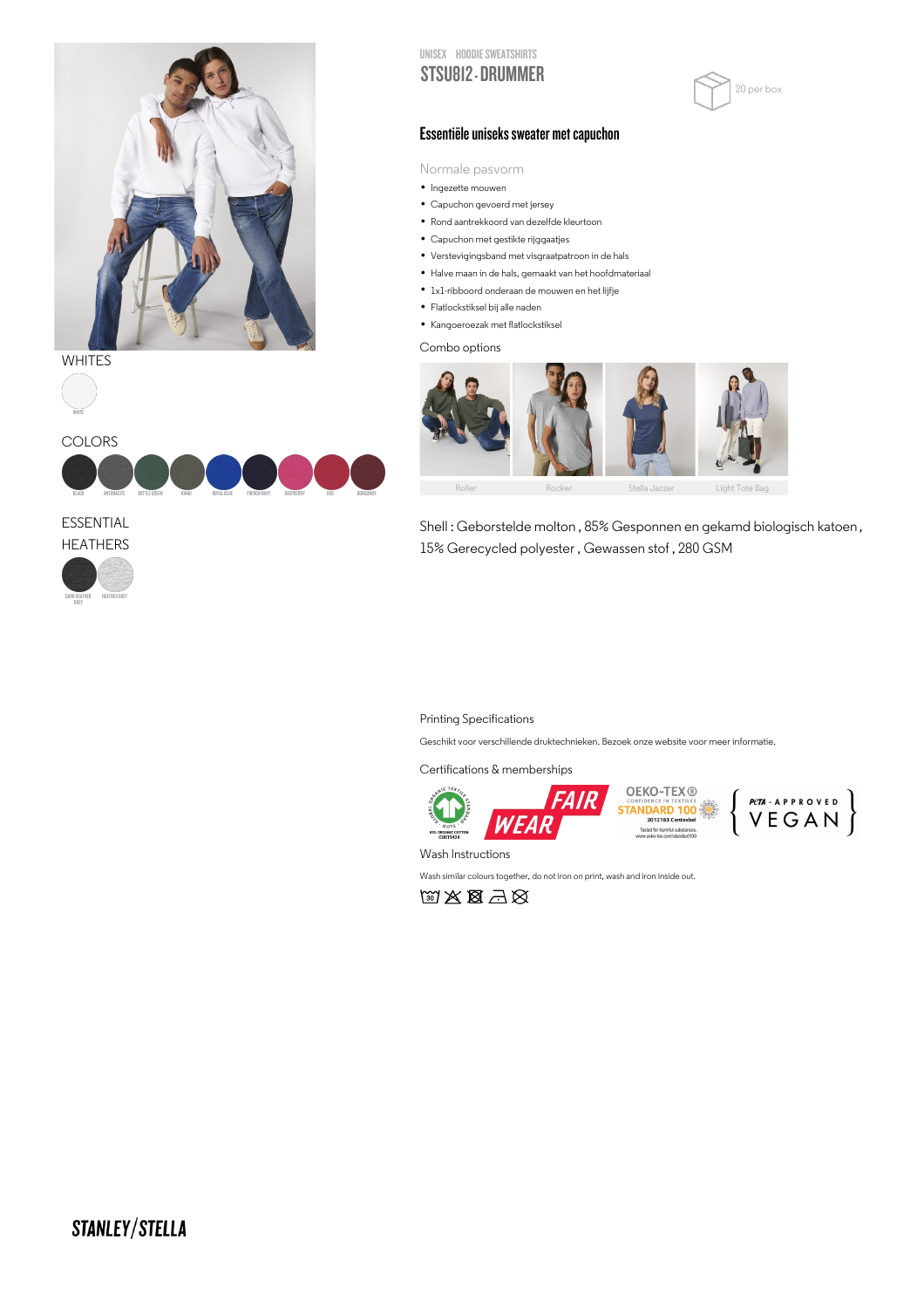

## **WHITES**







ESSENTIAL







## Essentiële uniseks sweater met capuchon

Normale pasvorm

- INormale pasvc<br>▪ Ingezette mouwen
- Ingezette mouwen<br>• Capuchon gevoerd met jersey
- Capuchon gevoerd met jersey<br>• Rond aantrekkoord van dezelfde kleurtoon • Rond aantrekkoord van dezelfde k<br>• Capuchon met gestikte rijggaatjes
- 
- Capuchon met gestikte rijggaatjes<br>• Verstevigingsband met visgraatpatroon in de hals • Verstevigingsband met visgraatpatroon in de hals<br>• Halve maan in de hals, gemaakt van het hoofdmateriaal
- Halve maan in de hals, gemaakt van het hoofdn<br>● 1x1-ribboord onderaan de mouwen en het lijfje
- 1x1-ribboord onderaan de r<br>• Flatlockstiksel bij alle naden
- Flatlockstiksel bij alle naden<br>• Kangoeroezak met flatlockstiksel

Combo options



Shell : Geborstelde molton , 85% Gesponnen en gekamd biologisch katoen , 15% Gerecycled polyester , Gewassen stof , 280 GSM

## Printing Specifications

Geschikt voor verschillende druktechnieken. Bezoek onze website voor meer informatie.

Certifications & memberships



**OEKO-TEX®** STANDARD 100 led for harmful substances.<br>neko-tex com/standard100



Wash Instructions

Wash similar colours together, do not iron on print, wash and iron inside out.